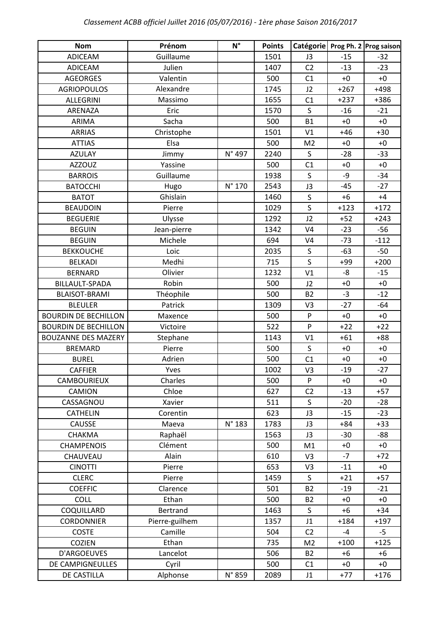| <b>Nom</b>                  | Prénom         | $N^{\circ}$     | <b>Points</b> | Catégorie      |        | Prog Ph. 2 Prog saison |
|-----------------------------|----------------|-----------------|---------------|----------------|--------|------------------------|
| <b>ADICEAM</b>              | Guillaume      |                 | 1501          | J3             | $-15$  | $-32$                  |
| <b>ADICEAM</b>              | Julien         |                 | 1407          | C <sub>2</sub> | $-13$  | $-23$                  |
| <b>AGEORGES</b>             | Valentin       |                 | 500           | C1             | $+0$   | $+0$                   |
| <b>AGRIOPOULOS</b>          | Alexandre      |                 | 1745          | J2             | $+267$ | $+498$                 |
| <b>ALLEGRINI</b>            | Massimo        |                 | 1655          | C1             | $+237$ | +386                   |
| ARENAZA                     | Eric           |                 | 1570          | S              | $-16$  | $-21$                  |
| ARIMA                       | Sacha          |                 | 500           | <b>B1</b>      | $+0$   | $+0$                   |
| <b>ARRIAS</b>               | Christophe     |                 | 1501          | V <sub>1</sub> | $+46$  | $+30$                  |
| <b>ATTIAS</b>               | Elsa           |                 | 500           | M <sub>2</sub> | $+0$   | $+0$                   |
| <b>AZULAY</b>               | Jimmy          | N° 497          | 2240          | $\mathsf{S}$   | $-28$  | $-33$                  |
| <b>AZZOUZ</b>               | Yassine        |                 | 500           | C1             | $+0$   | $+0$                   |
| <b>BARROIS</b>              | Guillaume      |                 | 1938          | S              | -9     | $-34$                  |
| <b>BATOCCHI</b>             | Hugo           | N° 170          | 2543          | J3             | $-45$  | $-27$                  |
| <b>BATOT</b>                | Ghislain       |                 | 1460          | S              | $+6$   | $+4$                   |
| <b>BEAUDOIN</b>             | Pierre         |                 | 1029          | $\mathsf{S}$   | $+123$ | $+172$                 |
| <b>BEGUERIE</b>             | Ulysse         |                 | 1292          | J2             | $+52$  | $+243$                 |
| <b>BEGUIN</b>               | Jean-pierre    |                 | 1342          | V <sub>4</sub> | $-23$  | $-56$                  |
| <b>BEGUIN</b>               | Michele        |                 | 694           | V <sub>4</sub> | $-73$  | $-112$                 |
| <b>BEKKOUCHE</b>            | Loic           |                 | 2035          | S              | $-63$  | $-50$                  |
| <b>BELKADI</b>              | Medhi          |                 | 715           | $\mathsf S$    | $+99$  | $+200$                 |
| <b>BERNARD</b>              | Olivier        |                 | 1232          | V <sub>1</sub> | -8     | $-15$                  |
| BILLAULT-SPADA              | Robin          |                 | 500           | J2             | $+0$   | $+0$                   |
| <b>BLAISOT-BRAMI</b>        | Théophile      |                 | 500           | <b>B2</b>      | $-3$   | $-12$                  |
| <b>BLEULER</b>              | Patrick        |                 | 1309          | V <sub>3</sub> | $-27$  | $-64$                  |
| <b>BOURDIN DE BECHILLON</b> | Maxence        |                 | 500           | ${\sf P}$      | $+0$   | $+0$                   |
| <b>BOURDIN DE BECHILLON</b> | Victoire       |                 | 522           | P              | $+22$  | $+22$                  |
| <b>BOUZANNE DES MAZERY</b>  | Stephane       |                 | 1143          | V <sub>1</sub> | $+61$  | $+88$                  |
| <b>BREMARD</b>              | Pierre         |                 | 500           | S              | $+0$   | $+0$                   |
| <b>BUREL</b>                | Adrien         |                 | 500           | C1             | $+0$   | $+0$                   |
| <b>CAFFIER</b>              | Yves           |                 | 1002          | V <sub>3</sub> | $-19$  | $-27$                  |
| CAMBOURIEUX                 | Charles        |                 | 500           | P              | $+0$   | $+0$                   |
| CAMION                      | Chloe          |                 | 627           | C <sub>2</sub> | $-13$  | $+57$                  |
| CASSAGNOU                   | Xavier         |                 | 511           | S              | $-20$  | $-28$                  |
| <b>CATHELIN</b>             | Corentin       |                 | 623           | J3             | $-15$  | $-23$                  |
| <b>CAUSSE</b>               | Maeva          | $N^{\circ}$ 183 | 1783          | J3             | $+84$  | $+33$                  |
| CHAKMA                      | Raphaël        |                 | 1563          | J3             | $-30$  | -88                    |
| <b>CHAMPENOIS</b>           | Clément        |                 | 500           | M1             | $+0$   | $+0$                   |
| CHAUVEAU                    | Alain          |                 | 610           | V <sub>3</sub> | $-7$   | $+72$                  |
| <b>CINOTTI</b>              | Pierre         |                 | 653           | V <sub>3</sub> | $-11$  | $+0$                   |
| <b>CLERC</b>                | Pierre         |                 | 1459          | S              | $+21$  | $+57$                  |
| <b>COEFFIC</b>              | Clarence       |                 | 501           | <b>B2</b>      | $-19$  | $-21$                  |
| COLL                        | Ethan          |                 | 500           | <b>B2</b>      | $+0$   | $+0$                   |
| COQUILLARD                  | Bertrand       |                 | 1463          | S              | $+6$   | $+34$                  |
| <b>CORDONNIER</b>           | Pierre-guilhem |                 | 1357          | J1             | $+184$ | $+197$                 |
| <b>COSTE</b>                | Camille        |                 | 504           | C <sub>2</sub> | $-4$   | $-5$                   |
| COZIEN                      | Ethan          |                 | 735           | M <sub>2</sub> | $+100$ | $+125$                 |
| D'ARGOEUVES                 | Lancelot       |                 | 506           | <b>B2</b>      | $+6$   | $+6$                   |
| DE CAMPIGNEULLES            | Cyril          |                 | 500           | C1             | $+0$   | $+0$                   |
| DE CASTILLA                 | Alphonse       | N° 859          | 2089          | J1             | $+77$  | $+176$                 |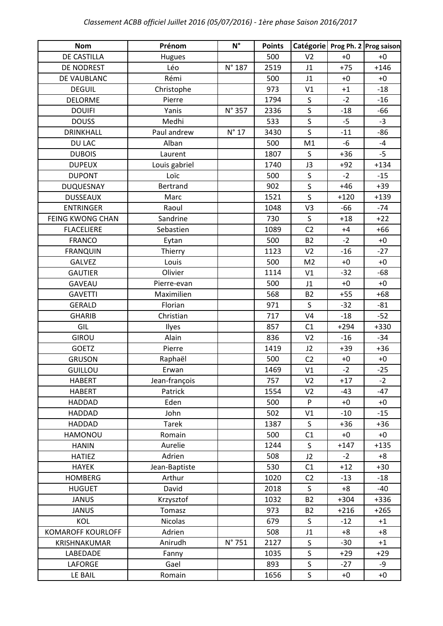| <b>Nom</b>               | Prénom        | $N^{\circ}$    | <b>Points</b> | Catégorie      |        | Prog Ph. 2 Prog saison |
|--------------------------|---------------|----------------|---------------|----------------|--------|------------------------|
| DE CASTILLA              | Hugues        |                | 500           | V <sub>2</sub> | $+0$   | $+0$                   |
| DE NODREST               | Léo           | N° 187         | 2519          | J1             | $+75$  | $+146$                 |
| DE VAUBLANC              | Rémi          |                | 500           | J1             | $+0$   | $+0$                   |
| <b>DEGUIL</b>            | Christophe    |                | 973           | V1             | $+1$   | $-18$                  |
| <b>DELORME</b>           | Pierre        |                | 1794          | S              | $-2$   | $-16$                  |
| <b>DOUIFI</b>            | Yanis         | N° 357         | 2336          | S              | $-18$  | $-66$                  |
| <b>DOUSS</b>             | Medhi         |                | 533           | $\mathsf S$    | $-5$   | $-3$                   |
| <b>DRINKHALL</b>         | Paul andrew   | $N^{\circ}$ 17 | 3430          | $\mathsf S$    | $-11$  | $-86$                  |
| DU LAC                   | Alban         |                | 500           | M1             | $-6$   | $-4$                   |
| <b>DUBOIS</b>            | Laurent       |                | 1807          | S              | $+36$  | $-5$                   |
| <b>DUPEUX</b>            | Louis gabriel |                | 1740          | J3             | $+92$  | $+134$                 |
| <b>DUPONT</b>            | Loïc          |                | 500           | $\mathsf S$    | $-2$   | $-15$                  |
| <b>DUQUESNAY</b>         | Bertrand      |                | 902           | $\mathsf S$    | $+46$  | $+39$                  |
| <b>DUSSEAUX</b>          | Marc          |                | 1521          | S              | $+120$ | $+139$                 |
| <b>ENTRINGER</b>         | Raoul         |                | 1048          | V <sub>3</sub> | $-66$  | $-74$                  |
| FEING KWONG CHAN         | Sandrine      |                | 730           | $\mathsf S$    | $+18$  | $+22$                  |
| <b>FLACELIERE</b>        | Sebastien     |                | 1089          | C <sub>2</sub> | $+4$   | $+66$                  |
| <b>FRANCO</b>            | Eytan         |                | 500           | <b>B2</b>      | $-2$   | $+0$                   |
| <b>FRANQUIN</b>          | Thierry       |                | 1123          | V <sub>2</sub> | $-16$  | $-27$                  |
| <b>GALVEZ</b>            | Louis         |                | 500           | M <sub>2</sub> | $+0$   | $+0$                   |
| <b>GAUTIER</b>           | Olivier       |                | 1114          | V1             | $-32$  | $-68$                  |
| <b>GAVEAU</b>            | Pierre-evan   |                | 500           | J1             | $+0$   | $+0$                   |
| <b>GAVETTI</b>           | Maximilien    |                | 568           | <b>B2</b>      | $+55$  | $+68$                  |
| <b>GERALD</b>            | Florian       |                | 971           | S              | $-32$  | $-81$                  |
| <b>GHARIB</b>            | Christian     |                | 717           | V <sub>4</sub> | $-18$  | $-52$                  |
| GIL                      | Ilyes         |                | 857           | C1             | $+294$ | +330                   |
| <b>GIROU</b>             | Alain         |                | 836           | V <sub>2</sub> | $-16$  | $-34$                  |
| <b>GOETZ</b>             | Pierre        |                | 1419          | J2             | $+39$  | $+36$                  |
| <b>GRUSON</b>            | Raphaël       |                | 500           | C <sub>2</sub> | $+0$   | $+0$                   |
| <b>GUILLOU</b>           | Erwan         |                | 1469          | V <sub>1</sub> | $-2$   | $-25$                  |
| <b>HABERT</b>            | Jean-françois |                | 757           | V <sub>2</sub> | $+17$  | $-2$                   |
| <b>HABERT</b>            | Patrick       |                | 1554          | V <sub>2</sub> | $-43$  | $-47$                  |
| HADDAD                   | Eden          |                | 500           | P              | $+0$   | $+0$                   |
| HADDAD                   | John          |                | 502           | V1             | $-10$  | $-15$                  |
| HADDAD                   | <b>Tarek</b>  |                | 1387          | S              | $+36$  | $+36$                  |
| HAMONOU                  | Romain        |                | 500           | C1             | $+0$   | $+0$                   |
| <b>HANIN</b>             | Aurelie       |                | 1244          | S              | $+147$ | $+135$                 |
| <b>HATIEZ</b>            | Adrien        |                | 508           | J2             | $-2$   | $+8$                   |
| <b>HAYEK</b>             | Jean-Baptiste |                | 530           | C1             | $+12$  | $+30$                  |
| <b>HOMBERG</b>           | Arthur        |                | 1020          | C <sub>2</sub> | $-13$  | $-18$                  |
| <b>HUGUET</b>            | David         |                | 2018          | $\mathsf{S}$   | $+8$   | $-40$                  |
| <b>JANUS</b>             | Krzysztof     |                | 1032          | <b>B2</b>      | $+304$ | $+336$                 |
| <b>JANUS</b>             | Tomasz        |                | 973           | <b>B2</b>      | $+216$ | $+265$                 |
| KOL                      | Nicolas       |                | 679           | S              | $-12$  | $+1$                   |
| <b>KOMAROFF KOURLOFF</b> | Adrien        |                | 508           | J1             | $+8$   | $+8$                   |
| KRISHNAKUMAR             | Anirudh       | N° 751         | 2127          | S              | $-30$  | $+1$                   |
| LABEDADE                 | Fanny         |                | 1035          | S              | $+29$  | $+29$                  |
| <b>LAFORGE</b>           | Gael          |                | 893           | S              | $-27$  | -9                     |
| LE BAIL                  | Romain        |                | 1656          | S              | $+0$   | $+0\,$                 |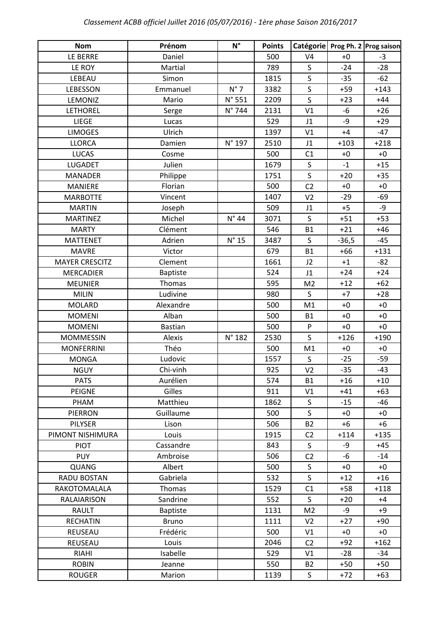| <b>Nom</b>            | Prénom          | $N^{\circ}$    | <b>Points</b> | Catégorie      |         | Prog Ph. 2 Prog saison |
|-----------------------|-----------------|----------------|---------------|----------------|---------|------------------------|
| LE BERRE              | Daniel          |                | 500           | V <sub>4</sub> | $+0$    | $-3$                   |
| LE ROY                | Martial         |                | 789           | $\sf S$        | $-24$   | $-28$                  |
| LEBEAU                | Simon           |                | 1815          | $\sf S$        | $-35$   | $-62$                  |
| LEBESSON              | Emmanuel        | $N^{\circ}$ 7  | 3382          | $\mathsf{S}$   | $+59$   | $+143$                 |
| LEMONIZ               | Mario           | N° 551         | 2209          | S              | $+23$   | $+44$                  |
| <b>LETHOREL</b>       | Serge           | N° 744         | 2131          | V1             | $-6$    | $+26$                  |
| LIEGE                 | Lucas           |                | 529           | J1             | -9      | $+29$                  |
| <b>LIMOGES</b>        | Ulrich          |                | 1397          | V <sub>1</sub> | $+4$    | $-47$                  |
| <b>LLORCA</b>         | Damien          | N° 197         | 2510          | J1             | $+103$  | $+218$                 |
| <b>LUCAS</b>          | Cosme           |                | 500           | C1             | $+0$    | $+0$                   |
| <b>LUGADET</b>        | Julien          |                | 1679          | $\sf S$        | $-1$    | $+15$                  |
| <b>MANADER</b>        | Philippe        |                | 1751          | $\sf S$        | $+20$   | $+35$                  |
| <b>MANIERE</b>        | Florian         |                | 500           | C <sub>2</sub> | $+0$    | $+0$                   |
| <b>MARBOTTE</b>       | Vincent         |                | 1407          | V <sub>2</sub> | $-29$   | $-69$                  |
| <b>MARTIN</b>         | Joseph          |                | 509           | J1             | $+5$    | -9                     |
| <b>MARTINEZ</b>       | Michel          | $N^{\circ}$ 44 | 3071          | $\sf S$        | $+51$   | $+53$                  |
| <b>MARTY</b>          | Clément         |                | 546           | <b>B1</b>      | $+21$   | $+46$                  |
| <b>MATTENET</b>       | Adrien          | $N^{\circ}$ 15 | 3487          | $\mathsf S$    | $-36,5$ | $-45$                  |
| <b>MAVRE</b>          | Victor          |                | 679           | <b>B1</b>      | $+66$   | $+131$                 |
| <b>MAYER CRESCITZ</b> | Clement         |                | 1661          | J2             | $+1$    | $-82$                  |
| <b>MERCADIER</b>      | <b>Baptiste</b> |                | 524           | J1             | $+24$   | $+24$                  |
| <b>MEUNIER</b>        | Thomas          |                | 595           | M <sub>2</sub> | $+12$   | $+62$                  |
| <b>MILIN</b>          | Ludivine        |                | 980           | S              | $+7$    | $+28$                  |
| MOLARD                | Alexandre       |                | 500           | M1             | $+0$    | $+0$                   |
| <b>MOMENI</b>         | Alban           |                | 500           | <b>B1</b>      | $+0$    | $+0$                   |
| <b>MOMENI</b>         | <b>Bastian</b>  |                | 500           | P              | $+0$    | $+0$                   |
| <b>MOMMESSIN</b>      | Alexis          | N° 182         | 2530          | $\mathsf S$    | $+126$  | $+190$                 |
| <b>MONFERRINI</b>     | Théo            |                | 500           | M1             | $+0$    | $+0$                   |
| <b>MONGA</b>          | Ludovic         |                | 1557          | S              | $-25$   | $-59$                  |
| <b>NGUY</b>           | Chi-vinh        |                | 925           | V <sub>2</sub> | $-35$   | $-43$                  |
| <b>PATS</b>           | Aurélien        |                | 574           | <b>B1</b>      | $+16$   | $+10$                  |
| PEIGNE                | Gilles          |                | 911           | V1             | $+41$   | $+63$                  |
| PHAM                  | Matthieu        |                | 1862          | S              | $-15$   | -46                    |
| PIERRON               | Guillaume       |                | 500           | $\mathsf{S}$   | $+0$    | $+0$                   |
| <b>PILYSER</b>        | Lison           |                | 506           | <b>B2</b>      | +6      | $+6$                   |
| PIMONT NISHIMURA      | Louis           |                | 1915          | C <sub>2</sub> | $+114$  | $+135$                 |
| <b>PIOT</b>           | Cassandre       |                | 843           | S              | -9      | $+45$                  |
| <b>PUY</b>            | Ambroise        |                | 506           | C <sub>2</sub> | -6      | $-14$                  |
| <b>QUANG</b>          | Albert          |                | 500           | $\mathsf S$    | $+0$    | $+0$                   |
| RADU BOSTAN           | Gabriela        |                | 532           | $\mathsf{S}$   | $+12$   | $+16$                  |
| RAKOTOMALALA          | Thomas          |                | 1529          | C1             | $+58$   | $+118$                 |
| RALAIARISON           | Sandrine        |                | 552           | S              | $+20$   | $+4$                   |
| RAULT                 | <b>Baptiste</b> |                | 1131          | M <sub>2</sub> | -9      | $+9$                   |
| <b>RECHATIN</b>       | <b>Bruno</b>    |                | 1111          | V <sub>2</sub> | $+27$   | $+90$                  |
| REUSEAU               | Frédéric        |                | 500           | V1             | $+0$    | $+0$                   |
| REUSEAU               | Louis           |                | 2046          | C <sub>2</sub> | $+92$   | $+162$                 |
| <b>RIAHI</b>          | Isabelle        |                | 529           | V1             | $-28$   | $-34$                  |
| <b>ROBIN</b>          | Jeanne          |                | 550           | <b>B2</b>      | $+50$   | $+50$                  |
| <b>ROUGER</b>         | Marion          |                | 1139          | S              | $+72$   | $+63$                  |